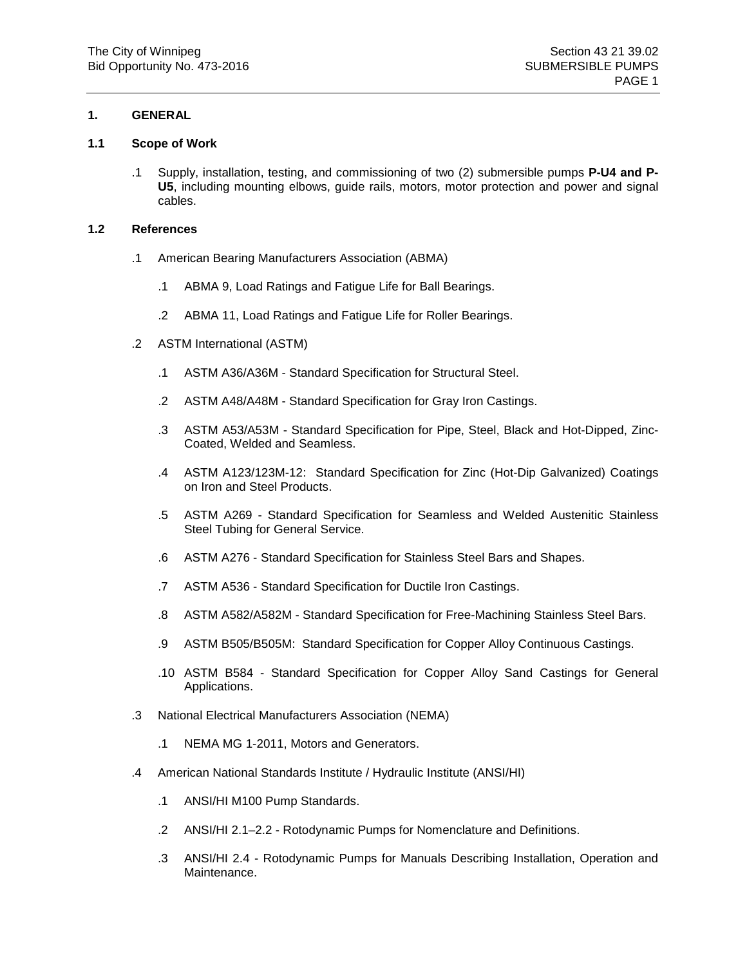# **1. GENERAL**

## **1.1 Scope of Work**

.1 Supply, installation, testing, and commissioning of two (2) submersible pumps **P-U4 and P-U5**, including mounting elbows, guide rails, motors, motor protection and power and signal cables.

#### **1.2 References**

- .1 American Bearing Manufacturers Association (ABMA)
	- .1 ABMA 9, Load Ratings and Fatigue Life for Ball Bearings.
	- .2 ABMA 11, Load Ratings and Fatigue Life for Roller Bearings.
- .2 ASTM International (ASTM)
	- .1 ASTM A36/A36M Standard Specification for Structural Steel.
	- .2 ASTM A48/A48M Standard Specification for Gray Iron Castings.
	- .3 ASTM A53/A53M Standard Specification for Pipe, Steel, Black and Hot-Dipped, Zinc-Coated, Welded and Seamless.
	- .4 ASTM A123/123M-12: Standard Specification for Zinc (Hot-Dip Galvanized) Coatings on Iron and Steel Products.
	- .5 ASTM A269 Standard Specification for Seamless and Welded Austenitic Stainless Steel Tubing for General Service.
	- .6 ASTM A276 Standard Specification for Stainless Steel Bars and Shapes.
	- .7 ASTM A536 Standard Specification for Ductile Iron Castings.
	- .8 ASTM A582/A582M Standard Specification for Free-Machining Stainless Steel Bars.
	- .9 ASTM B505/B505M: Standard Specification for Copper Alloy Continuous Castings.
	- .10 ASTM B584 Standard Specification for Copper Alloy Sand Castings for General Applications.
- .3 National Electrical Manufacturers Association (NEMA)
	- .1 NEMA MG 1-2011, Motors and Generators.
- .4 American National Standards Institute / Hydraulic Institute (ANSI/HI)
	- .1 ANSI/HI M100 Pump Standards.
	- .2 ANSI/HI 2.1–2.2 Rotodynamic Pumps for Nomenclature and Definitions.
	- .3 ANSI/HI 2.4 Rotodynamic Pumps for Manuals Describing Installation, Operation and Maintenance.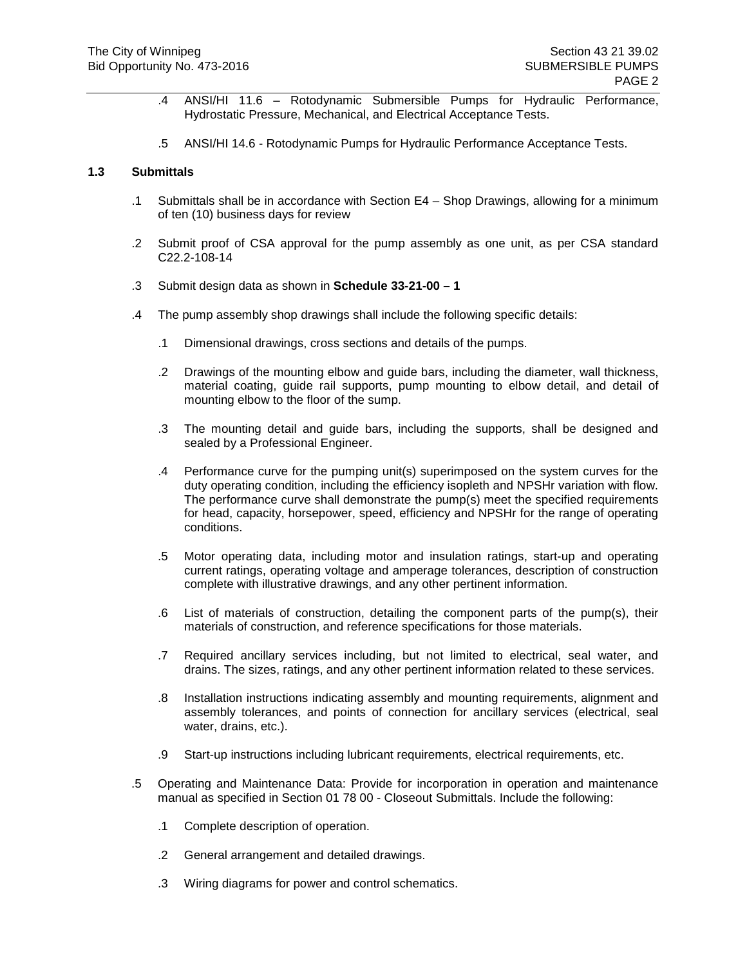- .4 ANSI/HI 11.6 Rotodynamic Submersible Pumps for Hydraulic Performance, Hydrostatic Pressure, Mechanical, and Electrical Acceptance Tests.
- .5 ANSI/HI 14.6 Rotodynamic Pumps for Hydraulic Performance Acceptance Tests.

#### **1.3 Submittals**

- .1 Submittals shall be in accordance with Section E4 Shop Drawings, allowing for a minimum of ten (10) business days for review
- .2 Submit proof of CSA approval for the pump assembly as one unit, as per CSA standard C22.2-108-14
- .3 Submit design data as shown in **Schedule 33-21-00 – 1**
- .4 The pump assembly shop drawings shall include the following specific details:
	- .1 Dimensional drawings, cross sections and details of the pumps.
	- .2 Drawings of the mounting elbow and guide bars, including the diameter, wall thickness, material coating, guide rail supports, pump mounting to elbow detail, and detail of mounting elbow to the floor of the sump.
	- .3 The mounting detail and guide bars, including the supports, shall be designed and sealed by a Professional Engineer.
	- .4 Performance curve for the pumping unit(s) superimposed on the system curves for the duty operating condition, including the efficiency isopleth and NPSHr variation with flow. The performance curve shall demonstrate the pump(s) meet the specified requirements for head, capacity, horsepower, speed, efficiency and NPSHr for the range of operating conditions.
	- .5 Motor operating data, including motor and insulation ratings, start-up and operating current ratings, operating voltage and amperage tolerances, description of construction complete with illustrative drawings, and any other pertinent information.
	- .6 List of materials of construction, detailing the component parts of the pump(s), their materials of construction, and reference specifications for those materials.
	- .7 Required ancillary services including, but not limited to electrical, seal water, and drains. The sizes, ratings, and any other pertinent information related to these services.
	- .8 Installation instructions indicating assembly and mounting requirements, alignment and assembly tolerances, and points of connection for ancillary services (electrical, seal water, drains, etc.).
	- .9 Start-up instructions including lubricant requirements, electrical requirements, etc.
- .5 Operating and Maintenance Data: Provide for incorporation in operation and maintenance manual as specified in Section 01 78 00 - Closeout Submittals. Include the following:
	- .1 Complete description of operation.
	- .2 General arrangement and detailed drawings.
	- .3 Wiring diagrams for power and control schematics.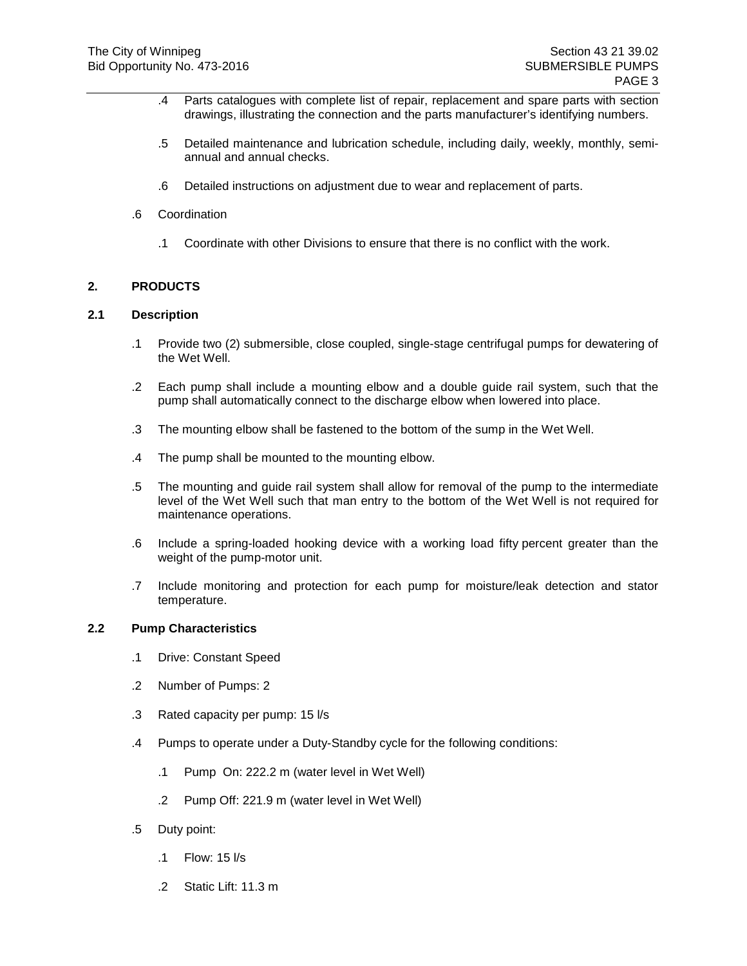- .4 Parts catalogues with complete list of repair, replacement and spare parts with section drawings, illustrating the connection and the parts manufacturer's identifying numbers.
- .5 Detailed maintenance and lubrication schedule, including daily, weekly, monthly, semiannual and annual checks.
- .6 Detailed instructions on adjustment due to wear and replacement of parts.
- .6 Coordination
	- .1 Coordinate with other Divisions to ensure that there is no conflict with the work.

#### **2. PRODUCTS**

## **2.1 Description**

- .1 Provide two (2) submersible, close coupled, single-stage centrifugal pumps for dewatering of the Wet Well.
- .2 Each pump shall include a mounting elbow and a double guide rail system, such that the pump shall automatically connect to the discharge elbow when lowered into place.
- .3 The mounting elbow shall be fastened to the bottom of the sump in the Wet Well.
- .4 The pump shall be mounted to the mounting elbow.
- .5 The mounting and guide rail system shall allow for removal of the pump to the intermediate level of the Wet Well such that man entry to the bottom of the Wet Well is not required for maintenance operations.
- .6 Include a spring-loaded hooking device with a working load fifty percent greater than the weight of the pump-motor unit.
- .7 Include monitoring and protection for each pump for moisture/leak detection and stator temperature.

#### **2.2 Pump Characteristics**

- .1 Drive: Constant Speed
- .2 Number of Pumps: 2
- .3 Rated capacity per pump: 15 l/s
- .4 Pumps to operate under a Duty-Standby cycle for the following conditions:
	- .1 Pump On: 222.2 m (water level in Wet Well)
	- .2 Pump Off: 221.9 m (water level in Wet Well)
- .5 Duty point:
	- .1 Flow: 15 l/s
	- .2 Static Lift: 11.3 m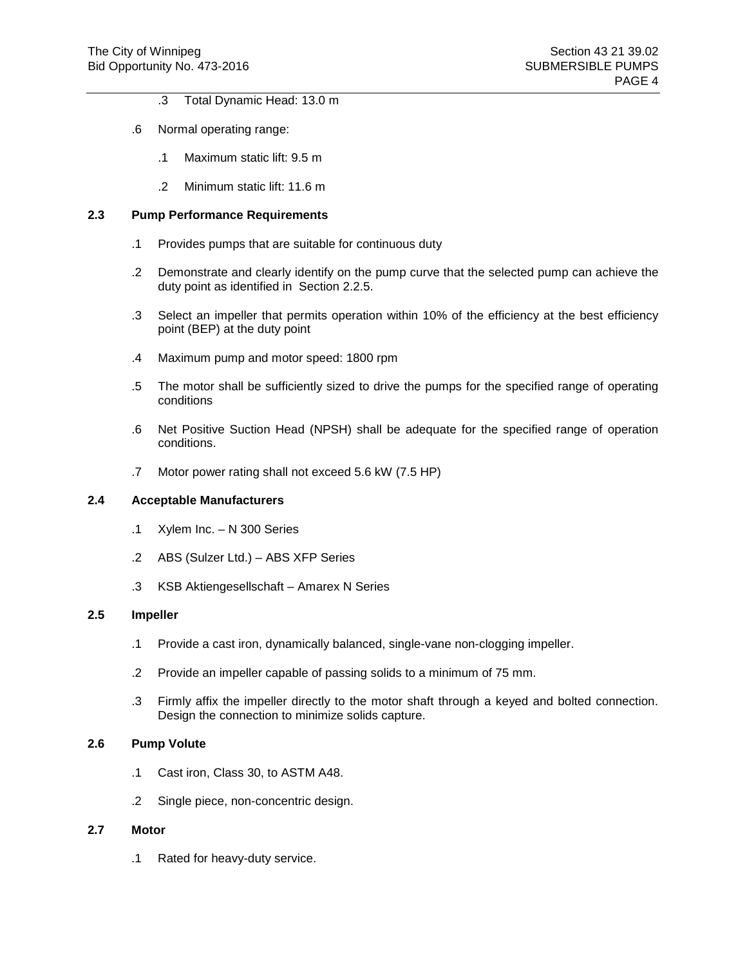- .3 Total Dynamic Head: 13.0 m
- .6 Normal operating range:
	- .1 Maximum static lift: 9.5 m
	- .2 Minimum static lift: 11.6 m

# **2.3 Pump Performance Requirements**

- .1 Provides pumps that are suitable for continuous duty
- .2 Demonstrate and clearly identify on the pump curve that the selected pump can achieve the duty point as identified in Section 2.2.5.
- .3 Select an impeller that permits operation within 10% of the efficiency at the best efficiency point (BEP) at the duty point
- .4 Maximum pump and motor speed: 1800 rpm
- .5 The motor shall be sufficiently sized to drive the pumps for the specified range of operating conditions
- .6 Net Positive Suction Head (NPSH) shall be adequate for the specified range of operation conditions.
- .7 Motor power rating shall not exceed 5.6 kW (7.5 HP)

## **2.4 Acceptable Manufacturers**

- .1 Xylem Inc. N 300 Series
- .2 ABS (Sulzer Ltd.) ABS XFP Series
- .3 KSB Aktiengesellschaft Amarex N Series

## **2.5 Impeller**

- .1 Provide a cast iron, dynamically balanced, single-vane non-clogging impeller.
- .2 Provide an impeller capable of passing solids to a minimum of 75 mm.
- .3 Firmly affix the impeller directly to the motor shaft through a keyed and bolted connection. Design the connection to minimize solids capture.

# **2.6 Pump Volute**

- .1 Cast iron, Class 30, to ASTM A48.
- .2 Single piece, non-concentric design.

## **2.7 Motor**

.1 Rated for heavy-duty service.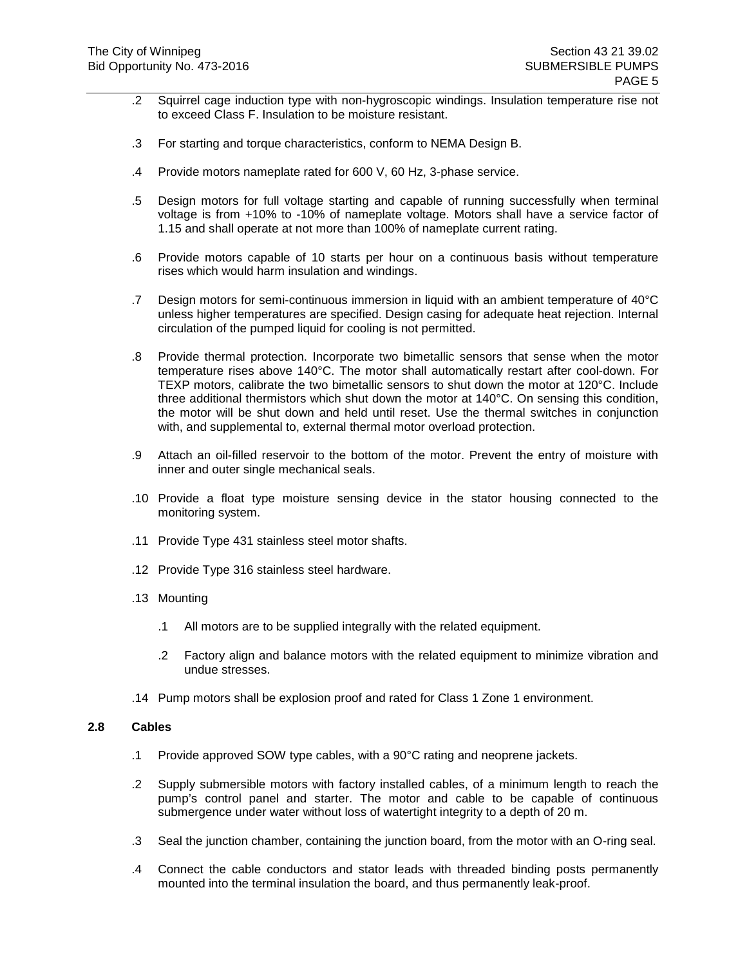- .2 Squirrel cage induction type with non-hygroscopic windings. Insulation temperature rise not to exceed Class F. Insulation to be moisture resistant.
- .3 For starting and torque characteristics, conform to NEMA Design B.
- .4 Provide motors nameplate rated for 600 V, 60 Hz, 3-phase service.
- .5 Design motors for full voltage starting and capable of running successfully when terminal voltage is from +10% to -10% of nameplate voltage. Motors shall have a service factor of 1.15 and shall operate at not more than 100% of nameplate current rating.
- .6 Provide motors capable of 10 starts per hour on a continuous basis without temperature rises which would harm insulation and windings.
- .7 Design motors for semi-continuous immersion in liquid with an ambient temperature of 40°C unless higher temperatures are specified. Design casing for adequate heat rejection. Internal circulation of the pumped liquid for cooling is not permitted.
- .8 Provide thermal protection. Incorporate two bimetallic sensors that sense when the motor temperature rises above 140°C. The motor shall automatically restart after cool-down. For TEXP motors, calibrate the two bimetallic sensors to shut down the motor at 120°C. Include three additional thermistors which shut down the motor at 140°C. On sensing this condition, the motor will be shut down and held until reset. Use the thermal switches in conjunction with, and supplemental to, external thermal motor overload protection.
- .9 Attach an oil-filled reservoir to the bottom of the motor. Prevent the entry of moisture with inner and outer single mechanical seals.
- .10 Provide a float type moisture sensing device in the stator housing connected to the monitoring system.
- .11 Provide Type 431 stainless steel motor shafts.
- .12 Provide Type 316 stainless steel hardware.
- .13 Mounting
	- .1 All motors are to be supplied integrally with the related equipment.
	- .2 Factory align and balance motors with the related equipment to minimize vibration and undue stresses.
- .14 Pump motors shall be explosion proof and rated for Class 1 Zone 1 environment.

#### **2.8 Cables**

- .1 Provide approved SOW type cables, with a 90°C rating and neoprene jackets.
- .2 Supply submersible motors with factory installed cables, of a minimum length to reach the pump's control panel and starter. The motor and cable to be capable of continuous submergence under water without loss of watertight integrity to a depth of 20 m.
- .3 Seal the junction chamber, containing the junction board, from the motor with an O-ring seal.
- .4 Connect the cable conductors and stator leads with threaded binding posts permanently mounted into the terminal insulation the board, and thus permanently leak-proof.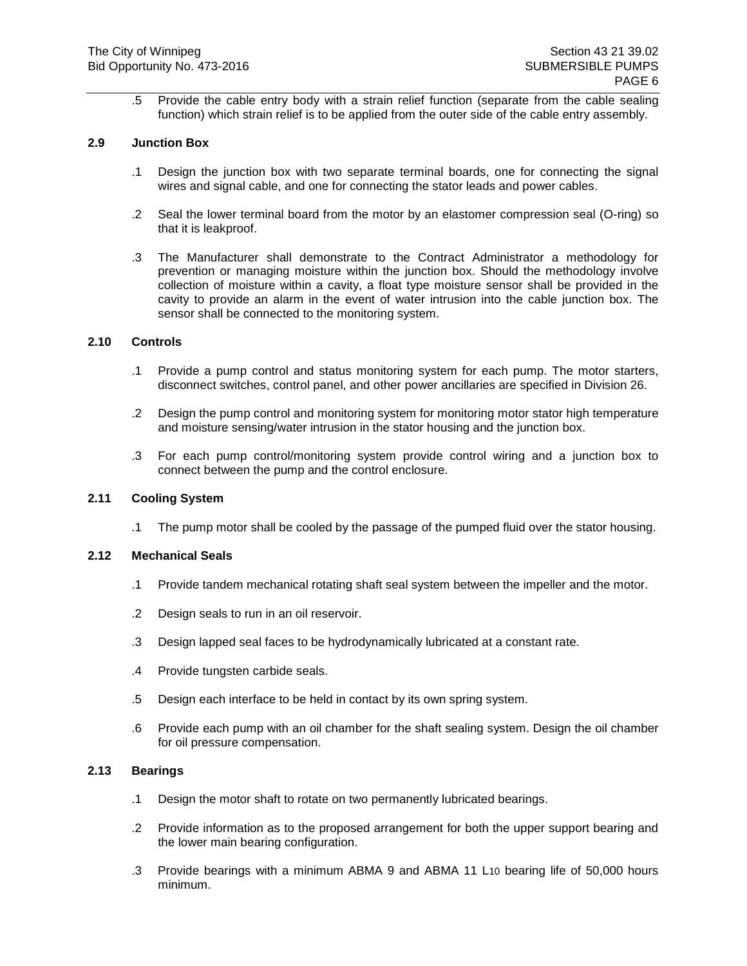.5 Provide the cable entry body with a strain relief function (separate from the cable sealing function) which strain relief is to be applied from the outer side of the cable entry assembly.

## **2.9 Junction Box**

- .1 Design the junction box with two separate terminal boards, one for connecting the signal wires and signal cable, and one for connecting the stator leads and power cables.
- .2 Seal the lower terminal board from the motor by an elastomer compression seal (O-ring) so that it is leakproof.
- .3 The Manufacturer shall demonstrate to the Contract Administrator a methodology for prevention or managing moisture within the junction box. Should the methodology involve collection of moisture within a cavity, a float type moisture sensor shall be provided in the cavity to provide an alarm in the event of water intrusion into the cable junction box. The sensor shall be connected to the monitoring system.

# **2.10 Controls**

- .1 Provide a pump control and status monitoring system for each pump. The motor starters, disconnect switches, control panel, and other power ancillaries are specified in Division 26.
- .2 Design the pump control and monitoring system for monitoring motor stator high temperature and moisture sensing/water intrusion in the stator housing and the junction box.
- .3 For each pump control/monitoring system provide control wiring and a junction box to connect between the pump and the control enclosure.

#### **2.11 Cooling System**

.1 The pump motor shall be cooled by the passage of the pumped fluid over the stator housing.

#### **2.12 Mechanical Seals**

- .1 Provide tandem mechanical rotating shaft seal system between the impeller and the motor.
- .2 Design seals to run in an oil reservoir.
- .3 Design lapped seal faces to be hydrodynamically lubricated at a constant rate.
- .4 Provide tungsten carbide seals.
- .5 Design each interface to be held in contact by its own spring system.
- .6 Provide each pump with an oil chamber for the shaft sealing system. Design the oil chamber for oil pressure compensation.

#### **2.13 Bearings**

- .1 Design the motor shaft to rotate on two permanently lubricated bearings.
- .2 Provide information as to the proposed arrangement for both the upper support bearing and the lower main bearing configuration.
- .3 Provide bearings with a minimum ABMA 9 and ABMA 11 L10 bearing life of 50,000 hours minimum.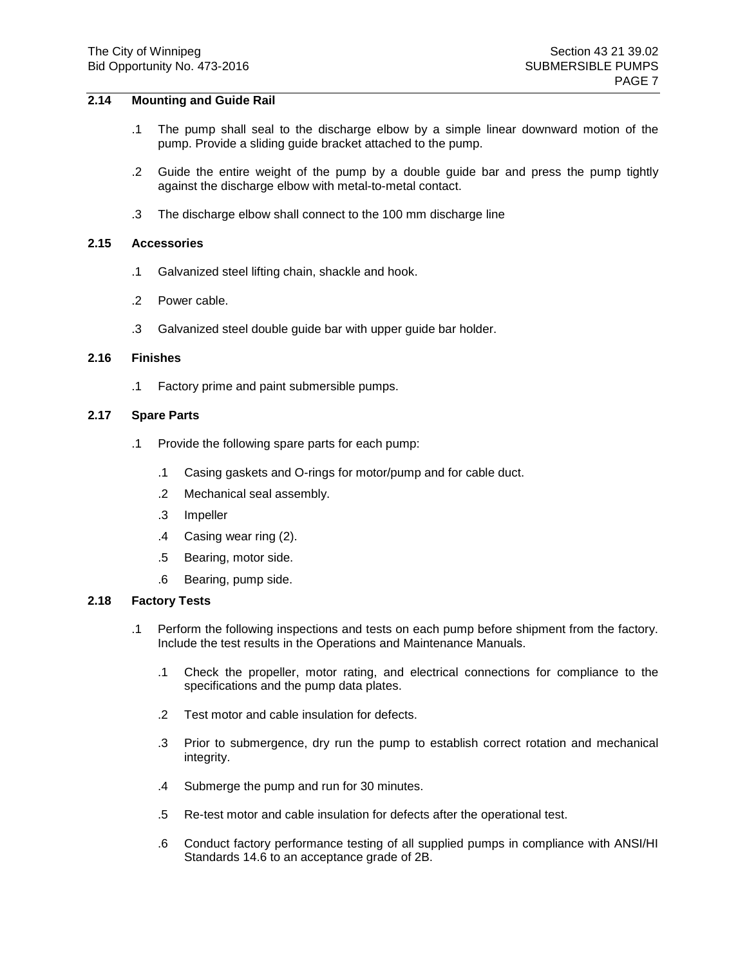## **2.14 Mounting and Guide Rail**

- .1 The pump shall seal to the discharge elbow by a simple linear downward motion of the pump. Provide a sliding guide bracket attached to the pump.
- .2 Guide the entire weight of the pump by a double guide bar and press the pump tightly against the discharge elbow with metal-to-metal contact.
- .3 The discharge elbow shall connect to the 100 mm discharge line

# **2.15 Accessories**

- .1 Galvanized steel lifting chain, shackle and hook.
- .2 Power cable.
- .3 Galvanized steel double guide bar with upper guide bar holder.

#### **2.16 Finishes**

.1 Factory prime and paint submersible pumps.

#### **2.17 Spare Parts**

- .1 Provide the following spare parts for each pump:
	- .1 Casing gaskets and O-rings for motor/pump and for cable duct.
	- .2 Mechanical seal assembly.
	- .3 Impeller
	- .4 Casing wear ring (2).
	- .5 Bearing, motor side.
	- .6 Bearing, pump side.

#### **2.18 Factory Tests**

- .1 Perform the following inspections and tests on each pump before shipment from the factory. Include the test results in the Operations and Maintenance Manuals.
	- .1 Check the propeller, motor rating, and electrical connections for compliance to the specifications and the pump data plates.
	- .2 Test motor and cable insulation for defects.
	- .3 Prior to submergence, dry run the pump to establish correct rotation and mechanical integrity.
	- .4 Submerge the pump and run for 30 minutes.
	- .5 Re-test motor and cable insulation for defects after the operational test.
	- .6 Conduct factory performance testing of all supplied pumps in compliance with ANSI/HI Standards 14.6 to an acceptance grade of 2B.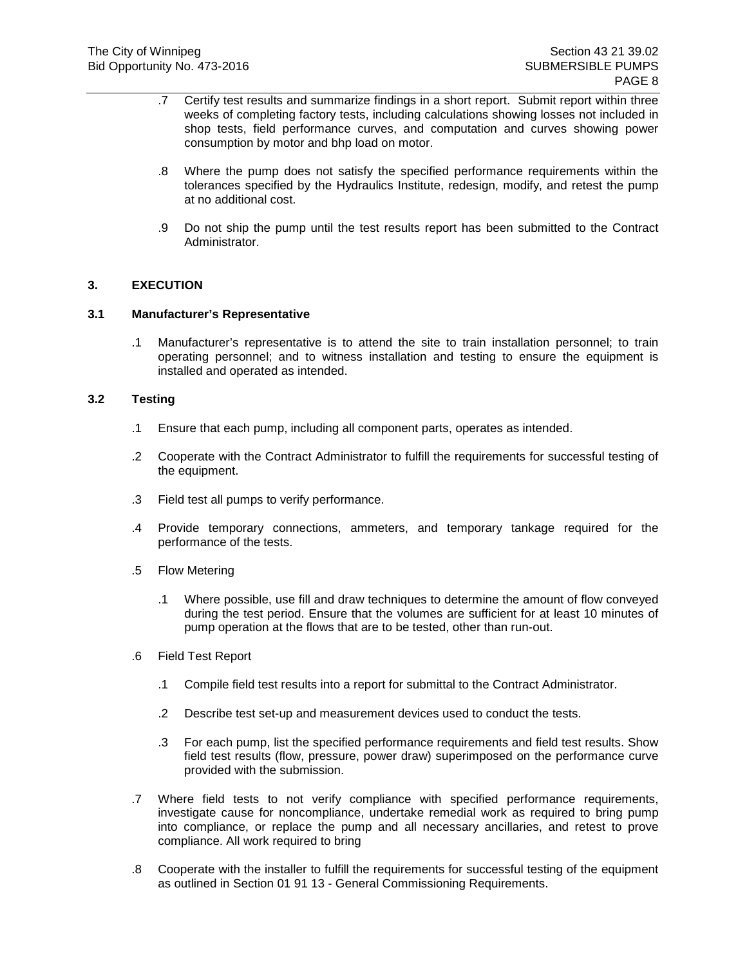- .7 Certify test results and summarize findings in a short report. Submit report within three weeks of completing factory tests, including calculations showing losses not included in shop tests, field performance curves, and computation and curves showing power consumption by motor and bhp load on motor.
- .8 Where the pump does not satisfy the specified performance requirements within the tolerances specified by the Hydraulics Institute, redesign, modify, and retest the pump at no additional cost.
- .9 Do not ship the pump until the test results report has been submitted to the Contract Administrator.

# **3. EXECUTION**

## **3.1 Manufacturer's Representative**

.1 Manufacturer's representative is to attend the site to train installation personnel; to train operating personnel; and to witness installation and testing to ensure the equipment is installed and operated as intended.

#### **3.2 Testing**

- .1 Ensure that each pump, including all component parts, operates as intended.
- .2 Cooperate with the Contract Administrator to fulfill the requirements for successful testing of the equipment.
- .3 Field test all pumps to verify performance.
- .4 Provide temporary connections, ammeters, and temporary tankage required for the performance of the tests.
- .5 Flow Metering
	- .1 Where possible, use fill and draw techniques to determine the amount of flow conveyed during the test period. Ensure that the volumes are sufficient for at least 10 minutes of pump operation at the flows that are to be tested, other than run-out.
- .6 Field Test Report
	- .1 Compile field test results into a report for submittal to the Contract Administrator.
	- .2 Describe test set-up and measurement devices used to conduct the tests.
	- .3 For each pump, list the specified performance requirements and field test results. Show field test results (flow, pressure, power draw) superimposed on the performance curve provided with the submission.
- .7 Where field tests to not verify compliance with specified performance requirements, investigate cause for noncompliance, undertake remedial work as required to bring pump into compliance, or replace the pump and all necessary ancillaries, and retest to prove compliance. All work required to bring
- .8 Cooperate with the installer to fulfill the requirements for successful testing of the equipment as outlined in Section 01 91 13 - General Commissioning Requirements.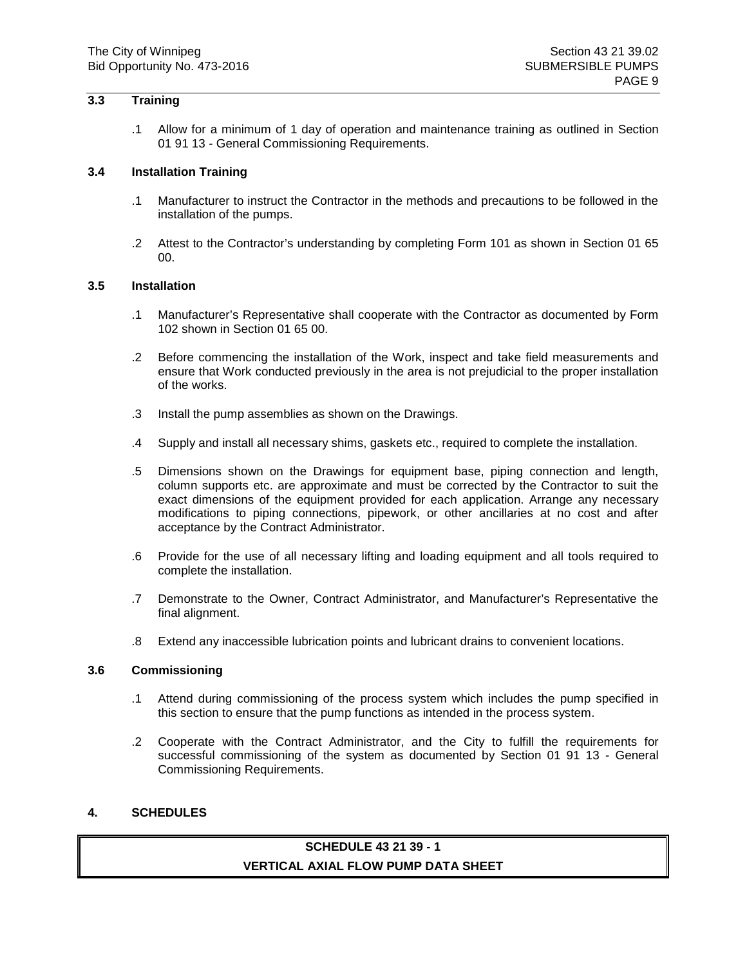# **3.3 Training**

.1 Allow for a minimum of 1 day of operation and maintenance training as outlined in Section 01 91 13 - General Commissioning Requirements.

#### **3.4 Installation Training**

- .1 Manufacturer to instruct the Contractor in the methods and precautions to be followed in the installation of the pumps.
- .2 Attest to the Contractor's understanding by completing Form 101 as shown in Section 01 65 00.

#### **3.5 Installation**

- .1 Manufacturer's Representative shall cooperate with the Contractor as documented by Form 102 shown in Section 01 65 00.
- .2 Before commencing the installation of the Work, inspect and take field measurements and ensure that Work conducted previously in the area is not prejudicial to the proper installation of the works.
- .3 Install the pump assemblies as shown on the Drawings.
- .4 Supply and install all necessary shims, gaskets etc., required to complete the installation.
- .5 Dimensions shown on the Drawings for equipment base, piping connection and length, column supports etc. are approximate and must be corrected by the Contractor to suit the exact dimensions of the equipment provided for each application. Arrange any necessary modifications to piping connections, pipework, or other ancillaries at no cost and after acceptance by the Contract Administrator.
- .6 Provide for the use of all necessary lifting and loading equipment and all tools required to complete the installation.
- .7 Demonstrate to the Owner, Contract Administrator, and Manufacturer's Representative the final alignment.
- .8 Extend any inaccessible lubrication points and lubricant drains to convenient locations.

#### **3.6 Commissioning**

- .1 Attend during commissioning of the process system which includes the pump specified in this section to ensure that the pump functions as intended in the process system.
- .2 Cooperate with the Contract Administrator, and the City to fulfill the requirements for successful commissioning of the system as documented by Section 01 91 13 - General Commissioning Requirements.

# **4. SCHEDULES**

# **SCHEDULE 43 21 39 - 1 VERTICAL AXIAL FLOW PUMP DATA SHEET**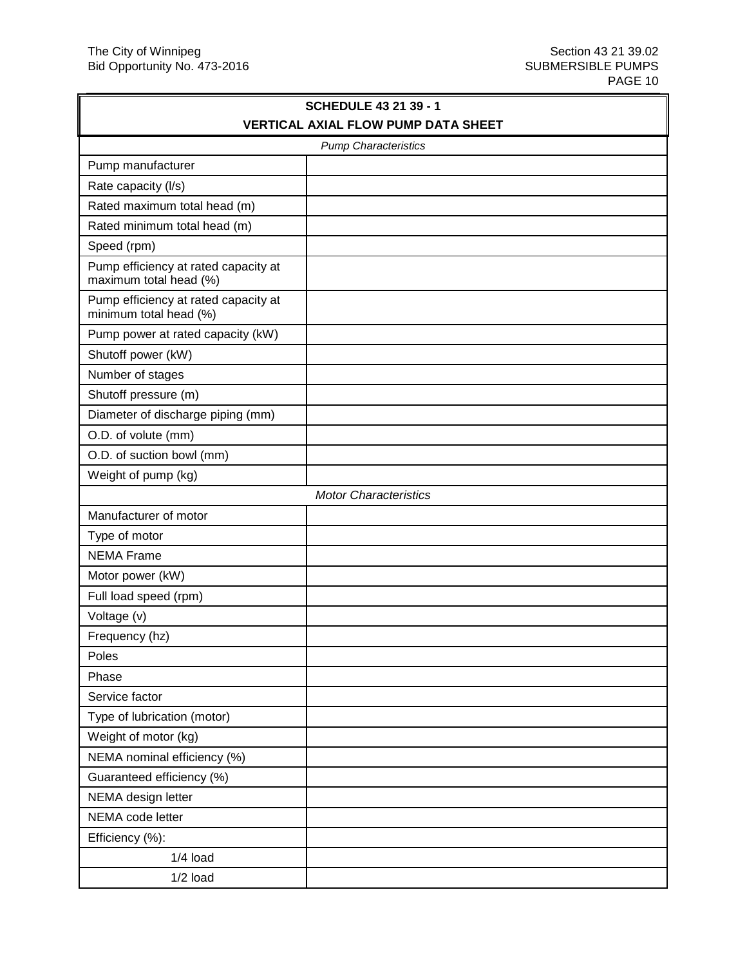| <b>VERTICAL AXIAL FLOW PUMP DATA SHEET</b><br><b>Pump Characteristics</b><br>Pump manufacturer<br>Rate capacity (I/s)<br>Rated maximum total head (m)<br>Rated minimum total head (m)<br>Speed (rpm)<br>Pump efficiency at rated capacity at<br>maximum total head (%)<br>Pump efficiency at rated capacity at<br>minimum total head (%)<br>Pump power at rated capacity (kW)<br>Shutoff power (kW)<br>Number of stages<br>Shutoff pressure (m)<br>Diameter of discharge piping (mm)<br>O.D. of volute (mm)<br>O.D. of suction bowl (mm)<br>Weight of pump (kg)<br><b>Motor Characteristics</b><br>Manufacturer of motor<br>Type of motor | <b>SCHEDULE 43 21 39 - 1</b> |  |  |
|-------------------------------------------------------------------------------------------------------------------------------------------------------------------------------------------------------------------------------------------------------------------------------------------------------------------------------------------------------------------------------------------------------------------------------------------------------------------------------------------------------------------------------------------------------------------------------------------------------------------------------------------|------------------------------|--|--|
|                                                                                                                                                                                                                                                                                                                                                                                                                                                                                                                                                                                                                                           |                              |  |  |
|                                                                                                                                                                                                                                                                                                                                                                                                                                                                                                                                                                                                                                           |                              |  |  |
|                                                                                                                                                                                                                                                                                                                                                                                                                                                                                                                                                                                                                                           |                              |  |  |
|                                                                                                                                                                                                                                                                                                                                                                                                                                                                                                                                                                                                                                           |                              |  |  |
|                                                                                                                                                                                                                                                                                                                                                                                                                                                                                                                                                                                                                                           |                              |  |  |
|                                                                                                                                                                                                                                                                                                                                                                                                                                                                                                                                                                                                                                           |                              |  |  |
|                                                                                                                                                                                                                                                                                                                                                                                                                                                                                                                                                                                                                                           |                              |  |  |
|                                                                                                                                                                                                                                                                                                                                                                                                                                                                                                                                                                                                                                           |                              |  |  |
|                                                                                                                                                                                                                                                                                                                                                                                                                                                                                                                                                                                                                                           |                              |  |  |
|                                                                                                                                                                                                                                                                                                                                                                                                                                                                                                                                                                                                                                           |                              |  |  |
|                                                                                                                                                                                                                                                                                                                                                                                                                                                                                                                                                                                                                                           |                              |  |  |
|                                                                                                                                                                                                                                                                                                                                                                                                                                                                                                                                                                                                                                           |                              |  |  |
|                                                                                                                                                                                                                                                                                                                                                                                                                                                                                                                                                                                                                                           |                              |  |  |
|                                                                                                                                                                                                                                                                                                                                                                                                                                                                                                                                                                                                                                           |                              |  |  |
|                                                                                                                                                                                                                                                                                                                                                                                                                                                                                                                                                                                                                                           |                              |  |  |
|                                                                                                                                                                                                                                                                                                                                                                                                                                                                                                                                                                                                                                           |                              |  |  |
|                                                                                                                                                                                                                                                                                                                                                                                                                                                                                                                                                                                                                                           |                              |  |  |
|                                                                                                                                                                                                                                                                                                                                                                                                                                                                                                                                                                                                                                           |                              |  |  |
|                                                                                                                                                                                                                                                                                                                                                                                                                                                                                                                                                                                                                                           |                              |  |  |
|                                                                                                                                                                                                                                                                                                                                                                                                                                                                                                                                                                                                                                           |                              |  |  |
| <b>NEMA Frame</b>                                                                                                                                                                                                                                                                                                                                                                                                                                                                                                                                                                                                                         |                              |  |  |
| Motor power (kW)                                                                                                                                                                                                                                                                                                                                                                                                                                                                                                                                                                                                                          |                              |  |  |
| Full load speed (rpm)                                                                                                                                                                                                                                                                                                                                                                                                                                                                                                                                                                                                                     |                              |  |  |
| Voltage (v)                                                                                                                                                                                                                                                                                                                                                                                                                                                                                                                                                                                                                               |                              |  |  |
| Frequency (hz)                                                                                                                                                                                                                                                                                                                                                                                                                                                                                                                                                                                                                            |                              |  |  |
| Poles                                                                                                                                                                                                                                                                                                                                                                                                                                                                                                                                                                                                                                     |                              |  |  |
| Phase                                                                                                                                                                                                                                                                                                                                                                                                                                                                                                                                                                                                                                     |                              |  |  |
| Service factor                                                                                                                                                                                                                                                                                                                                                                                                                                                                                                                                                                                                                            |                              |  |  |
| Type of lubrication (motor)                                                                                                                                                                                                                                                                                                                                                                                                                                                                                                                                                                                                               |                              |  |  |
| Weight of motor (kg)                                                                                                                                                                                                                                                                                                                                                                                                                                                                                                                                                                                                                      |                              |  |  |
| NEMA nominal efficiency (%)                                                                                                                                                                                                                                                                                                                                                                                                                                                                                                                                                                                                               |                              |  |  |
| Guaranteed efficiency (%)                                                                                                                                                                                                                                                                                                                                                                                                                                                                                                                                                                                                                 |                              |  |  |
| NEMA design letter                                                                                                                                                                                                                                                                                                                                                                                                                                                                                                                                                                                                                        |                              |  |  |
| NEMA code letter                                                                                                                                                                                                                                                                                                                                                                                                                                                                                                                                                                                                                          |                              |  |  |
| Efficiency (%):                                                                                                                                                                                                                                                                                                                                                                                                                                                                                                                                                                                                                           |                              |  |  |
| $1/4$ load                                                                                                                                                                                                                                                                                                                                                                                                                                                                                                                                                                                                                                |                              |  |  |
| $1/2$ load                                                                                                                                                                                                                                                                                                                                                                                                                                                                                                                                                                                                                                |                              |  |  |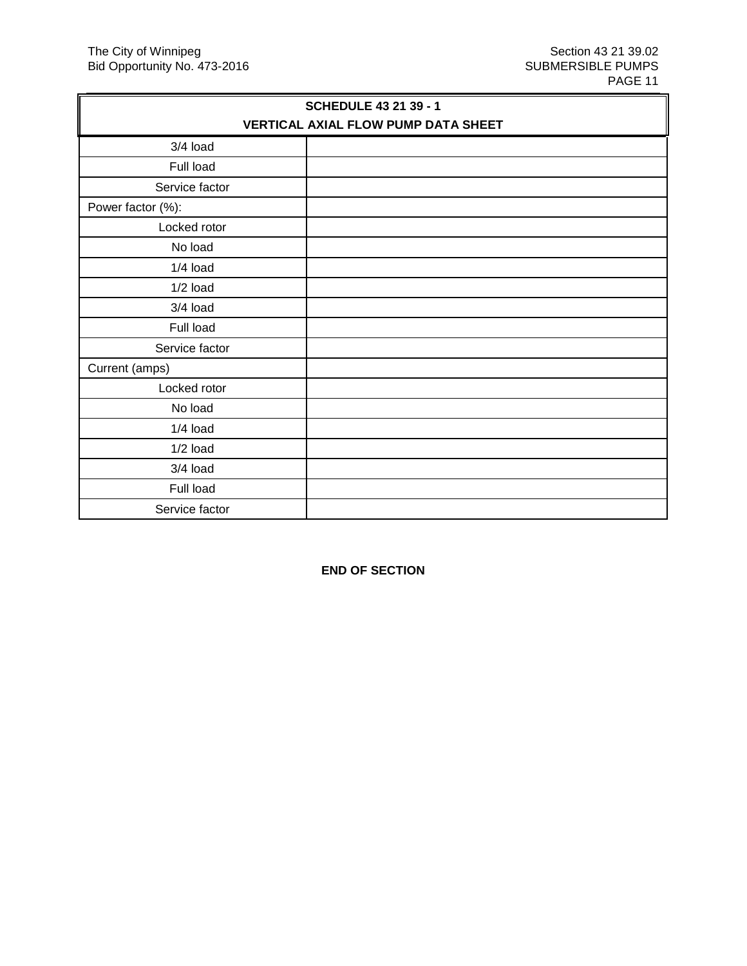| <b>SCHEDULE 43 21 39 - 1</b>        |  |  |
|-------------------------------------|--|--|
| VERTICAL AXIAL FLOW PUMP DATA SHEET |  |  |
| 3/4 load                            |  |  |
| Full load                           |  |  |
| Service factor                      |  |  |
| Power factor (%):                   |  |  |
| Locked rotor                        |  |  |
| No load                             |  |  |
| $1/4$ load                          |  |  |
| $1/2$ load                          |  |  |
| 3/4 load                            |  |  |
| Full load                           |  |  |
| Service factor                      |  |  |
| Current (amps)                      |  |  |
| Locked rotor                        |  |  |
| No load                             |  |  |
| $1/4$ load                          |  |  |
| $1/2$ load                          |  |  |
| $3/4$ load                          |  |  |
| Full load                           |  |  |
| Service factor                      |  |  |

**END OF SECTION**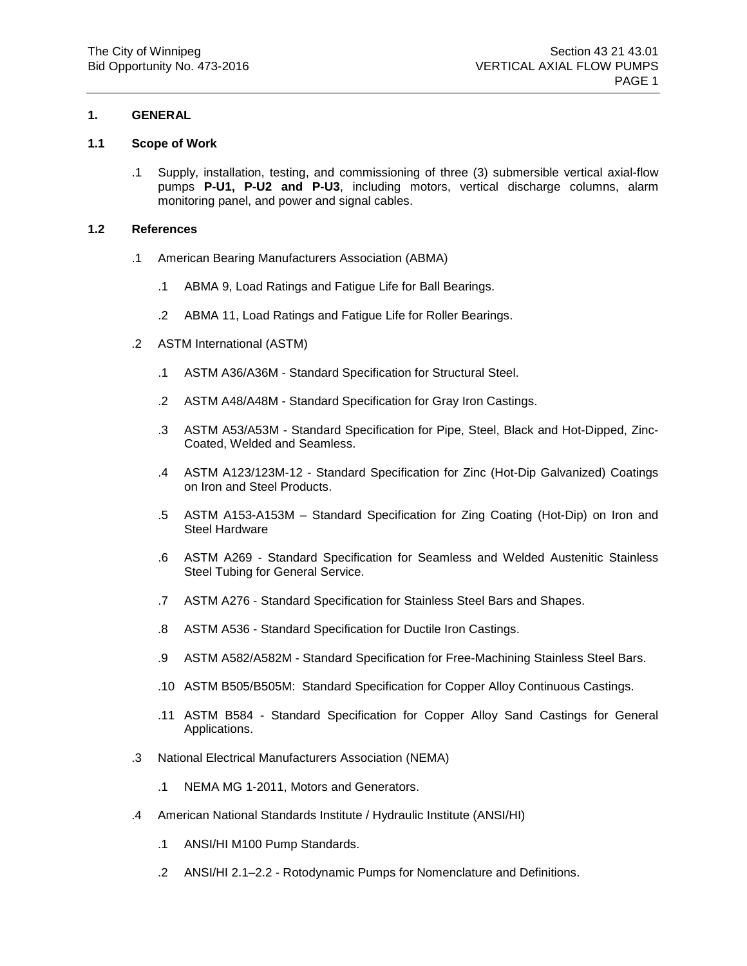# **1. GENERAL**

## **1.1 Scope of Work**

.1 Supply, installation, testing, and commissioning of three (3) submersible vertical axial-flow pumps **P-U1, P-U2 and P-U3**, including motors, vertical discharge columns, alarm monitoring panel, and power and signal cables.

## **1.2 References**

- .1 American Bearing Manufacturers Association (ABMA)
	- .1 ABMA 9, Load Ratings and Fatigue Life for Ball Bearings.
	- .2 ABMA 11, Load Ratings and Fatigue Life for Roller Bearings.
- .2 ASTM International (ASTM)
	- .1 ASTM A36/A36M Standard Specification for Structural Steel.
	- .2 ASTM A48/A48M Standard Specification for Gray Iron Castings.
	- .3 ASTM A53/A53M Standard Specification for Pipe, Steel, Black and Hot-Dipped, Zinc-Coated, Welded and Seamless.
	- .4 ASTM A123/123M-12 Standard Specification for Zinc (Hot-Dip Galvanized) Coatings on Iron and Steel Products.
	- .5 ASTM A153-A153M Standard Specification for Zing Coating (Hot-Dip) on Iron and Steel Hardware
	- .6 ASTM A269 Standard Specification for Seamless and Welded Austenitic Stainless Steel Tubing for General Service.
	- .7 ASTM A276 Standard Specification for Stainless Steel Bars and Shapes.
	- .8 ASTM A536 Standard Specification for Ductile Iron Castings.
	- .9 ASTM A582/A582M Standard Specification for Free-Machining Stainless Steel Bars.
	- .10 ASTM B505/B505M: Standard Specification for Copper Alloy Continuous Castings.
	- .11 ASTM B584 Standard Specification for Copper Alloy Sand Castings for General Applications.
- .3 National Electrical Manufacturers Association (NEMA)
	- .1 NEMA MG 1-2011, Motors and Generators.
- .4 American National Standards Institute / Hydraulic Institute (ANSI/HI)
	- .1 ANSI/HI M100 Pump Standards.
	- .2 ANSI/HI 2.1–2.2 Rotodynamic Pumps for Nomenclature and Definitions.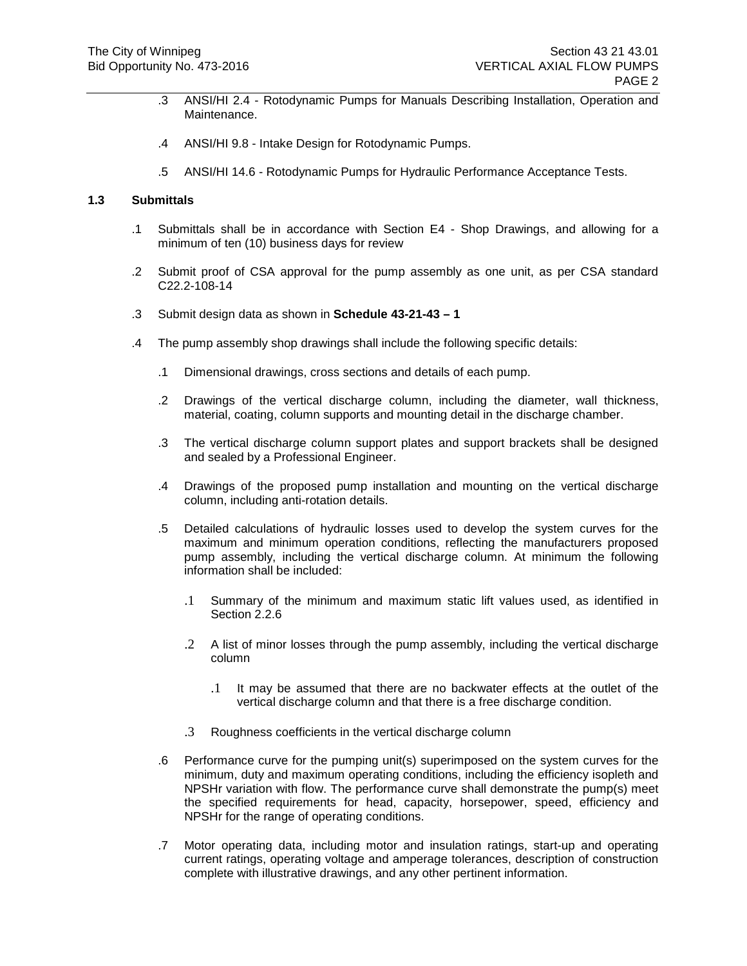- .3 ANSI/HI 2.4 Rotodynamic Pumps for Manuals Describing Installation, Operation and Maintenance.
- .4 ANSI/HI 9.8 Intake Design for Rotodynamic Pumps.
- .5 ANSI/HI 14.6 Rotodynamic Pumps for Hydraulic Performance Acceptance Tests.

# **1.3 Submittals**

- .1 Submittals shall be in accordance with Section E4 Shop Drawings, and allowing for a minimum of ten (10) business days for review
- .2 Submit proof of CSA approval for the pump assembly as one unit, as per CSA standard C22.2-108-14
- .3 Submit design data as shown in **Schedule 43-21-43 – 1**
- .4 The pump assembly shop drawings shall include the following specific details:
	- .1 Dimensional drawings, cross sections and details of each pump.
	- .2 Drawings of the vertical discharge column, including the diameter, wall thickness, material, coating, column supports and mounting detail in the discharge chamber.
	- .3 The vertical discharge column support plates and support brackets shall be designed and sealed by a Professional Engineer.
	- .4 Drawings of the proposed pump installation and mounting on the vertical discharge column, including anti-rotation details.
	- .5 Detailed calculations of hydraulic losses used to develop the system curves for the maximum and minimum operation conditions, reflecting the manufacturers proposed pump assembly, including the vertical discharge column. At minimum the following information shall be included:
		- .1 Summary of the minimum and maximum static lift values used, as identified in Section 2.2.6
		- .2 A list of minor losses through the pump assembly, including the vertical discharge column
			- .1 It may be assumed that there are no backwater effects at the outlet of the vertical discharge column and that there is a free discharge condition.
		- .3 Roughness coefficients in the vertical discharge column
	- .6 Performance curve for the pumping unit(s) superimposed on the system curves for the minimum, duty and maximum operating conditions, including the efficiency isopleth and NPSHr variation with flow. The performance curve shall demonstrate the pump(s) meet the specified requirements for head, capacity, horsepower, speed, efficiency and NPSHr for the range of operating conditions.
	- .7 Motor operating data, including motor and insulation ratings, start-up and operating current ratings, operating voltage and amperage tolerances, description of construction complete with illustrative drawings, and any other pertinent information.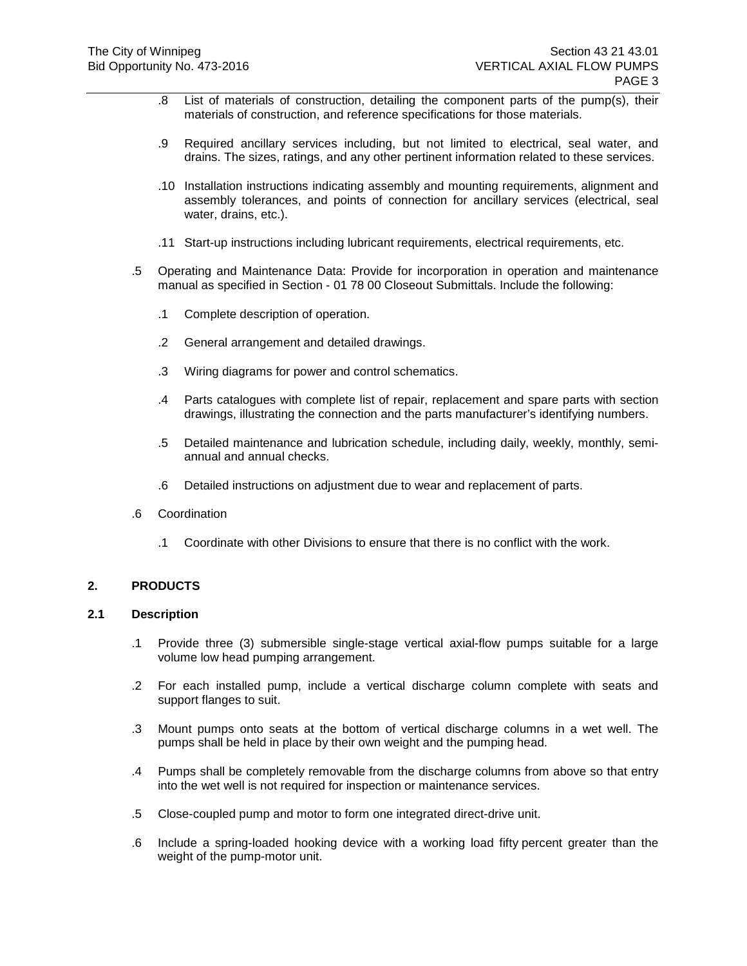- .8 List of materials of construction, detailing the component parts of the pump(s), their materials of construction, and reference specifications for those materials.
- .9 Required ancillary services including, but not limited to electrical, seal water, and drains. The sizes, ratings, and any other pertinent information related to these services.
- .10 Installation instructions indicating assembly and mounting requirements, alignment and assembly tolerances, and points of connection for ancillary services (electrical, seal water, drains, etc.).
- .11 Start-up instructions including lubricant requirements, electrical requirements, etc.
- .5 Operating and Maintenance Data: Provide for incorporation in operation and maintenance manual as specified in Section - 01 78 00 Closeout Submittals. Include the following:
	- .1 Complete description of operation.
	- .2 General arrangement and detailed drawings.
	- .3 Wiring diagrams for power and control schematics.
	- .4 Parts catalogues with complete list of repair, replacement and spare parts with section drawings, illustrating the connection and the parts manufacturer's identifying numbers.
	- .5 Detailed maintenance and lubrication schedule, including daily, weekly, monthly, semiannual and annual checks.
	- .6 Detailed instructions on adjustment due to wear and replacement of parts.
- .6 Coordination
	- .1 Coordinate with other Divisions to ensure that there is no conflict with the work.

## **2. PRODUCTS**

#### **2.1 Description**

- .1 Provide three (3) submersible single-stage vertical axial-flow pumps suitable for a large volume low head pumping arrangement.
- .2 For each installed pump, include a vertical discharge column complete with seats and support flanges to suit.
- .3 Mount pumps onto seats at the bottom of vertical discharge columns in a wet well. The pumps shall be held in place by their own weight and the pumping head.
- .4 Pumps shall be completely removable from the discharge columns from above so that entry into the wet well is not required for inspection or maintenance services.
- .5 Close-coupled pump and motor to form one integrated direct-drive unit.
- .6 Include a spring-loaded hooking device with a working load fifty percent greater than the weight of the pump-motor unit.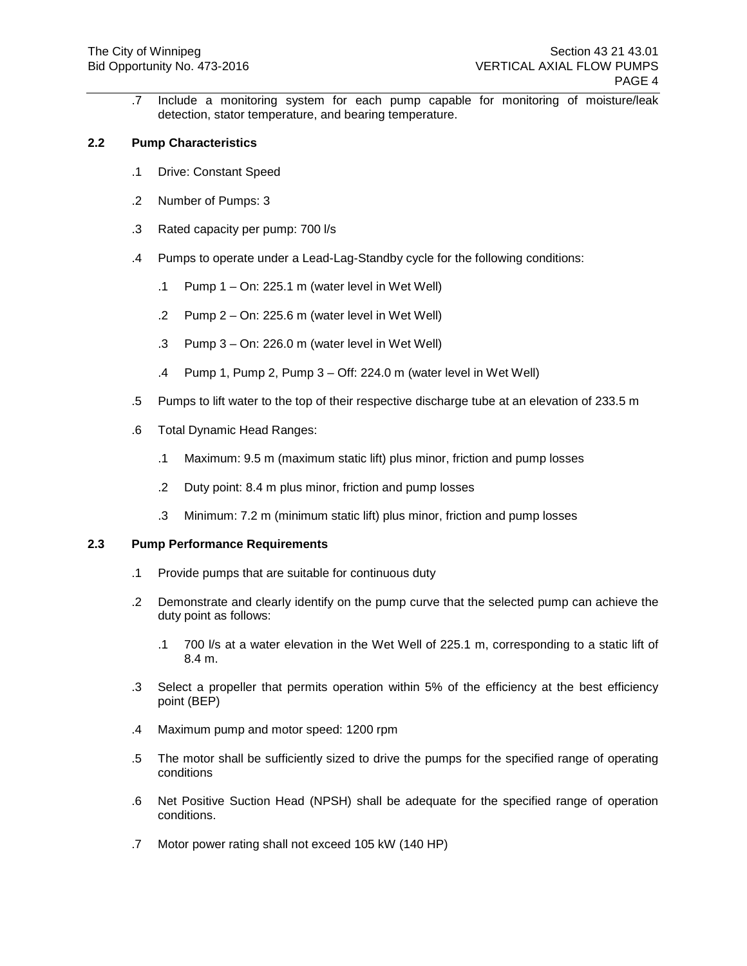.7 Include a monitoring system for each pump capable for monitoring of moisture/leak detection, stator temperature, and bearing temperature.

# **2.2 Pump Characteristics**

- .1 Drive: Constant Speed
- .2 Number of Pumps: 3
- .3 Rated capacity per pump: 700 l/s
- .4 Pumps to operate under a Lead-Lag-Standby cycle for the following conditions:
	- .1 Pump  $1 On: 225.1$  m (water level in Wet Well)
	- .2 Pump 2 On: 225.6 m (water level in Wet Well)
	- .3 Pump 3 On: 226.0 m (water level in Wet Well)
	- .4 Pump 1, Pump 2, Pump 3 Off: 224.0 m (water level in Wet Well)
- .5 Pumps to lift water to the top of their respective discharge tube at an elevation of 233.5 m
- .6 Total Dynamic Head Ranges:
	- .1 Maximum: 9.5 m (maximum static lift) plus minor, friction and pump losses
	- .2 Duty point: 8.4 m plus minor, friction and pump losses
	- .3 Minimum: 7.2 m (minimum static lift) plus minor, friction and pump losses

## **2.3 Pump Performance Requirements**

- .1 Provide pumps that are suitable for continuous duty
- .2 Demonstrate and clearly identify on the pump curve that the selected pump can achieve the duty point as follows:
	- .1 700 l/s at a water elevation in the Wet Well of 225.1 m, corresponding to a static lift of 8.4 m.
- .3 Select a propeller that permits operation within 5% of the efficiency at the best efficiency point (BEP)
- .4 Maximum pump and motor speed: 1200 rpm
- .5 The motor shall be sufficiently sized to drive the pumps for the specified range of operating conditions
- .6 Net Positive Suction Head (NPSH) shall be adequate for the specified range of operation conditions.
- .7 Motor power rating shall not exceed 105 kW (140 HP)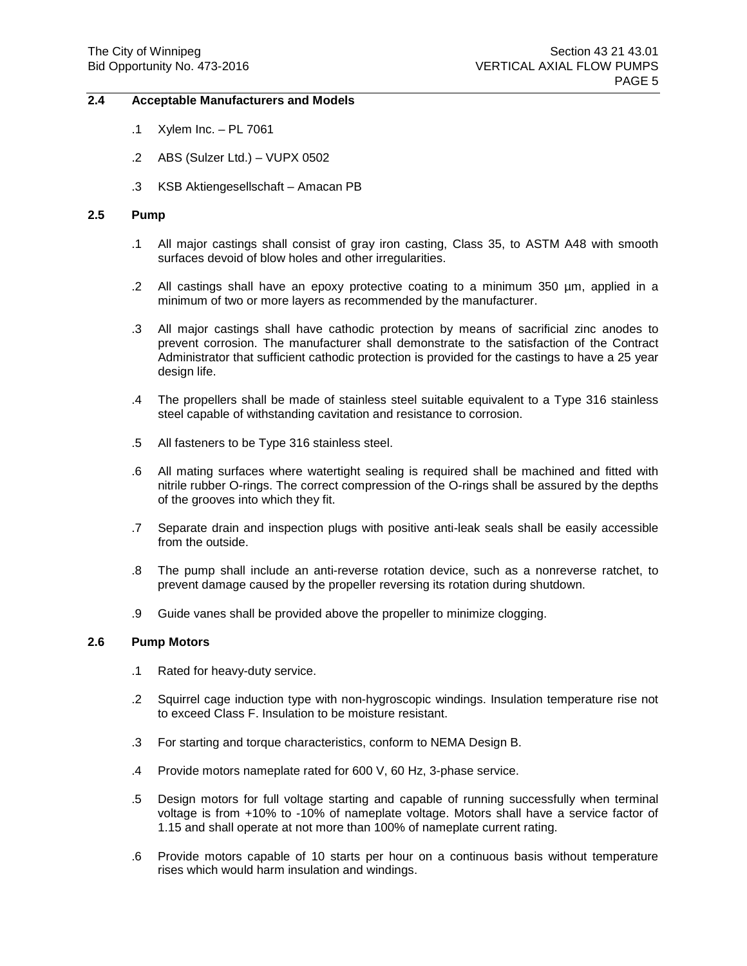## **2.4 Acceptable Manufacturers and Models**

- .1 Xylem Inc. PL 7061
- .2 ABS (Sulzer Ltd.) VUPX 0502
- .3 KSB Aktiengesellschaft Amacan PB

# **2.5 Pump**

- .1 All major castings shall consist of gray iron casting, Class 35, to ASTM A48 with smooth surfaces devoid of blow holes and other irregularities.
- .2 All castings shall have an epoxy protective coating to a minimum 350 µm, applied in a minimum of two or more layers as recommended by the manufacturer.
- .3 All major castings shall have cathodic protection by means of sacrificial zinc anodes to prevent corrosion. The manufacturer shall demonstrate to the satisfaction of the Contract Administrator that sufficient cathodic protection is provided for the castings to have a 25 year design life.
- .4 The propellers shall be made of stainless steel suitable equivalent to a Type 316 stainless steel capable of withstanding cavitation and resistance to corrosion.
- .5 All fasteners to be Type 316 stainless steel.
- .6 All mating surfaces where watertight sealing is required shall be machined and fitted with nitrile rubber O-rings. The correct compression of the O-rings shall be assured by the depths of the grooves into which they fit.
- .7 Separate drain and inspection plugs with positive anti-leak seals shall be easily accessible from the outside.
- .8 The pump shall include an anti-reverse rotation device, such as a nonreverse ratchet, to prevent damage caused by the propeller reversing its rotation during shutdown.
- .9 Guide vanes shall be provided above the propeller to minimize clogging.

#### **2.6 Pump Motors**

- .1 Rated for heavy-duty service.
- .2 Squirrel cage induction type with non-hygroscopic windings. Insulation temperature rise not to exceed Class F. Insulation to be moisture resistant.
- .3 For starting and torque characteristics, conform to NEMA Design B.
- .4 Provide motors nameplate rated for 600 V, 60 Hz, 3-phase service.
- .5 Design motors for full voltage starting and capable of running successfully when terminal voltage is from +10% to -10% of nameplate voltage. Motors shall have a service factor of 1.15 and shall operate at not more than 100% of nameplate current rating.
- .6 Provide motors capable of 10 starts per hour on a continuous basis without temperature rises which would harm insulation and windings.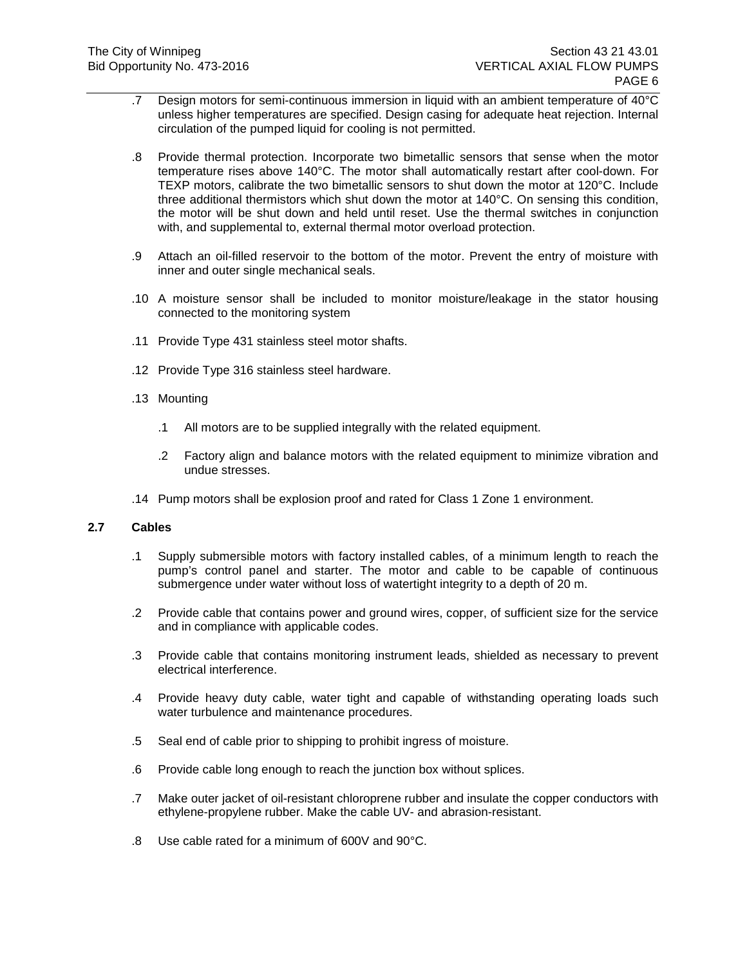- .7 Design motors for semi-continuous immersion in liquid with an ambient temperature of 40°C unless higher temperatures are specified. Design casing for adequate heat rejection. Internal circulation of the pumped liquid for cooling is not permitted.
- .8 Provide thermal protection. Incorporate two bimetallic sensors that sense when the motor temperature rises above 140°C. The motor shall automatically restart after cool-down. For TEXP motors, calibrate the two bimetallic sensors to shut down the motor at 120°C. Include three additional thermistors which shut down the motor at 140°C. On sensing this condition, the motor will be shut down and held until reset. Use the thermal switches in conjunction with, and supplemental to, external thermal motor overload protection.
- .9 Attach an oil-filled reservoir to the bottom of the motor. Prevent the entry of moisture with inner and outer single mechanical seals.
- .10 A moisture sensor shall be included to monitor moisture/leakage in the stator housing connected to the monitoring system
- .11 Provide Type 431 stainless steel motor shafts.
- .12 Provide Type 316 stainless steel hardware.
- .13 Mounting
	- .1 All motors are to be supplied integrally with the related equipment.
	- .2 Factory align and balance motors with the related equipment to minimize vibration and undue stresses.
- .14 Pump motors shall be explosion proof and rated for Class 1 Zone 1 environment.

## **2.7 Cables**

- .1 Supply submersible motors with factory installed cables, of a minimum length to reach the pump's control panel and starter. The motor and cable to be capable of continuous submergence under water without loss of watertight integrity to a depth of 20 m.
- .2 Provide cable that contains power and ground wires, copper, of sufficient size for the service and in compliance with applicable codes.
- .3 Provide cable that contains monitoring instrument leads, shielded as necessary to prevent electrical interference.
- .4 Provide heavy duty cable, water tight and capable of withstanding operating loads such water turbulence and maintenance procedures.
- .5 Seal end of cable prior to shipping to prohibit ingress of moisture.
- .6 Provide cable long enough to reach the junction box without splices.
- .7 Make outer jacket of oil-resistant chloroprene rubber and insulate the copper conductors with ethylene-propylene rubber. Make the cable UV- and abrasion-resistant.
- .8 Use cable rated for a minimum of 600V and 90°C.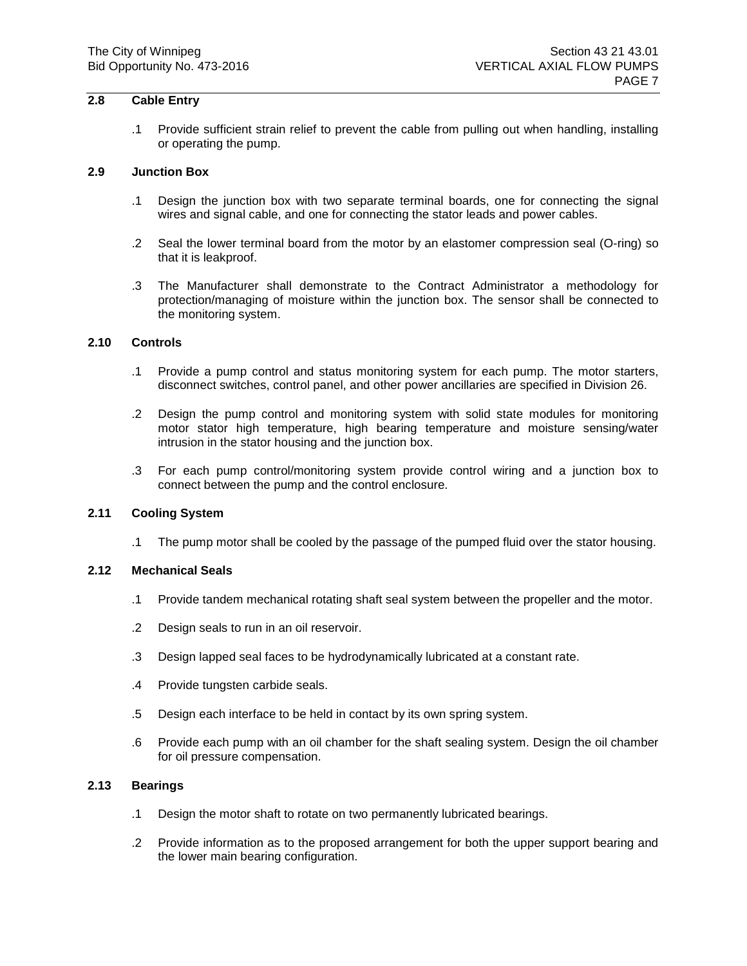# **2.8 Cable Entry**

.1 Provide sufficient strain relief to prevent the cable from pulling out when handling, installing or operating the pump.

#### **2.9 Junction Box**

- .1 Design the junction box with two separate terminal boards, one for connecting the signal wires and signal cable, and one for connecting the stator leads and power cables.
- .2 Seal the lower terminal board from the motor by an elastomer compression seal (O-ring) so that it is leakproof.
- .3 The Manufacturer shall demonstrate to the Contract Administrator a methodology for protection/managing of moisture within the junction box. The sensor shall be connected to the monitoring system.

# **2.10 Controls**

- .1 Provide a pump control and status monitoring system for each pump. The motor starters, disconnect switches, control panel, and other power ancillaries are specified in Division 26.
- .2 Design the pump control and monitoring system with solid state modules for monitoring motor stator high temperature, high bearing temperature and moisture sensing/water intrusion in the stator housing and the junction box.
- .3 For each pump control/monitoring system provide control wiring and a junction box to connect between the pump and the control enclosure.

## **2.11 Cooling System**

.1 The pump motor shall be cooled by the passage of the pumped fluid over the stator housing.

## **2.12 Mechanical Seals**

- .1 Provide tandem mechanical rotating shaft seal system between the propeller and the motor.
- .2 Design seals to run in an oil reservoir.
- .3 Design lapped seal faces to be hydrodynamically lubricated at a constant rate.
- .4 Provide tungsten carbide seals.
- .5 Design each interface to be held in contact by its own spring system.
- .6 Provide each pump with an oil chamber for the shaft sealing system. Design the oil chamber for oil pressure compensation.

#### **2.13 Bearings**

- .1 Design the motor shaft to rotate on two permanently lubricated bearings.
- .2 Provide information as to the proposed arrangement for both the upper support bearing and the lower main bearing configuration.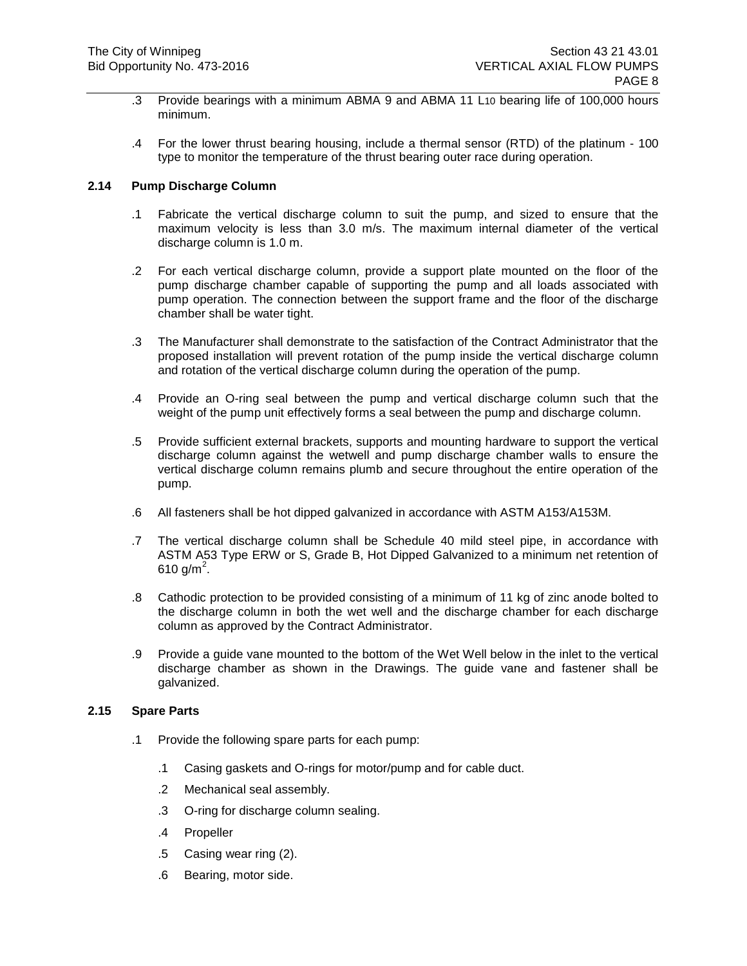- .3 Provide bearings with a minimum ABMA 9 and ABMA 11 L10 bearing life of 100,000 hours minimum.
- .4 For the lower thrust bearing housing, include a thermal sensor (RTD) of the platinum 100 type to monitor the temperature of the thrust bearing outer race during operation.

## **2.14 Pump Discharge Column**

- .1 Fabricate the vertical discharge column to suit the pump, and sized to ensure that the maximum velocity is less than 3.0 m/s. The maximum internal diameter of the vertical discharge column is 1.0 m.
- .2 For each vertical discharge column, provide a support plate mounted on the floor of the pump discharge chamber capable of supporting the pump and all loads associated with pump operation. The connection between the support frame and the floor of the discharge chamber shall be water tight.
- .3 The Manufacturer shall demonstrate to the satisfaction of the Contract Administrator that the proposed installation will prevent rotation of the pump inside the vertical discharge column and rotation of the vertical discharge column during the operation of the pump.
- .4 Provide an O-ring seal between the pump and vertical discharge column such that the weight of the pump unit effectively forms a seal between the pump and discharge column.
- .5 Provide sufficient external brackets, supports and mounting hardware to support the vertical discharge column against the wetwell and pump discharge chamber walls to ensure the vertical discharge column remains plumb and secure throughout the entire operation of the pump.
- .6 All fasteners shall be hot dipped galvanized in accordance with ASTM A153/A153M.
- .7 The vertical discharge column shall be Schedule 40 mild steel pipe, in accordance with ASTM A53 Type ERW or S, Grade B, Hot Dipped Galvanized to a minimum net retention of 610 g/m<sup>2</sup>.
- .8 Cathodic protection to be provided consisting of a minimum of 11 kg of zinc anode bolted to the discharge column in both the wet well and the discharge chamber for each discharge column as approved by the Contract Administrator.
- .9 Provide a guide vane mounted to the bottom of the Wet Well below in the inlet to the vertical discharge chamber as shown in the Drawings. The guide vane and fastener shall be galvanized.

## **2.15 Spare Parts**

- .1 Provide the following spare parts for each pump:
	- .1 Casing gaskets and O-rings for motor/pump and for cable duct.
	- .2 Mechanical seal assembly.
	- .3 O-ring for discharge column sealing.
	- .4 Propeller
	- .5 Casing wear ring (2).
	- .6 Bearing, motor side.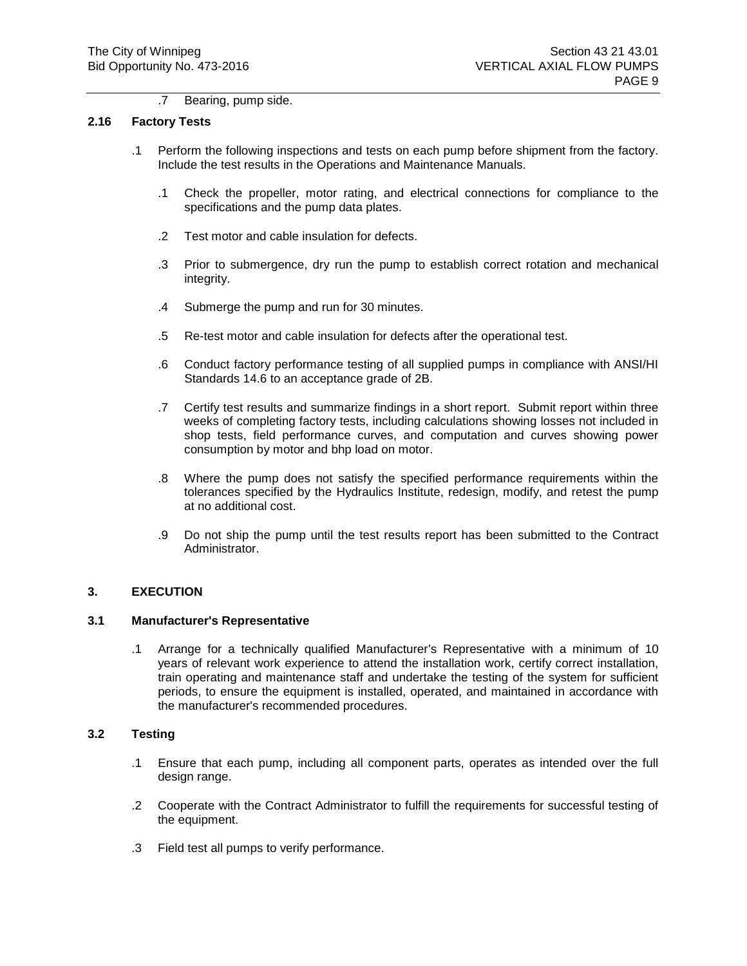#### .7 Bearing, pump side.

#### **2.16 Factory Tests**

- .1 Perform the following inspections and tests on each pump before shipment from the factory. Include the test results in the Operations and Maintenance Manuals.
	- .1 Check the propeller, motor rating, and electrical connections for compliance to the specifications and the pump data plates.
	- .2 Test motor and cable insulation for defects.
	- .3 Prior to submergence, dry run the pump to establish correct rotation and mechanical integrity.
	- .4 Submerge the pump and run for 30 minutes.
	- .5 Re-test motor and cable insulation for defects after the operational test.
	- .6 Conduct factory performance testing of all supplied pumps in compliance with ANSI/HI Standards 14.6 to an acceptance grade of 2B.
	- .7 Certify test results and summarize findings in a short report. Submit report within three weeks of completing factory tests, including calculations showing losses not included in shop tests, field performance curves, and computation and curves showing power consumption by motor and bhp load on motor.
	- .8 Where the pump does not satisfy the specified performance requirements within the tolerances specified by the Hydraulics Institute, redesign, modify, and retest the pump at no additional cost.
	- .9 Do not ship the pump until the test results report has been submitted to the Contract Administrator.

## **3. EXECUTION**

## **3.1 Manufacturer's Representative**

.1 Arrange for a technically qualified Manufacturer's Representative with a minimum of 10 years of relevant work experience to attend the installation work, certify correct installation, train operating and maintenance staff and undertake the testing of the system for sufficient periods, to ensure the equipment is installed, operated, and maintained in accordance with the manufacturer's recommended procedures.

## **3.2 Testing**

- .1 Ensure that each pump, including all component parts, operates as intended over the full design range.
- .2 Cooperate with the Contract Administrator to fulfill the requirements for successful testing of the equipment.
- .3 Field test all pumps to verify performance.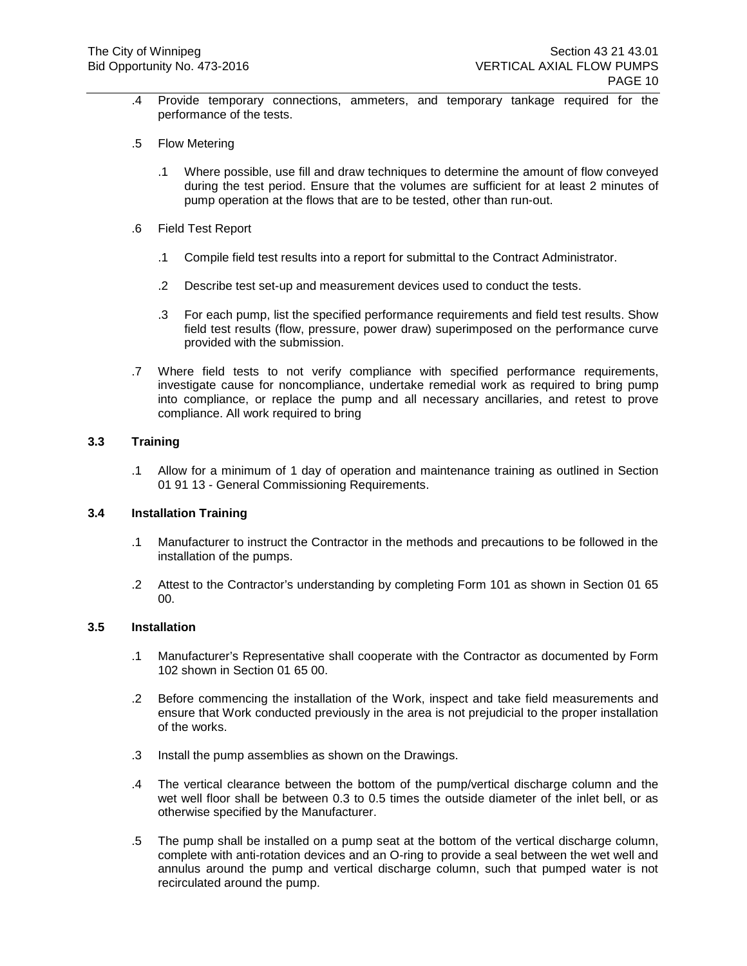- .4 Provide temporary connections, ammeters, and temporary tankage required for the performance of the tests.
- .5 Flow Metering
	- .1 Where possible, use fill and draw techniques to determine the amount of flow conveyed during the test period. Ensure that the volumes are sufficient for at least 2 minutes of pump operation at the flows that are to be tested, other than run-out.
- .6 Field Test Report
	- .1 Compile field test results into a report for submittal to the Contract Administrator.
	- .2 Describe test set-up and measurement devices used to conduct the tests.
	- .3 For each pump, list the specified performance requirements and field test results. Show field test results (flow, pressure, power draw) superimposed on the performance curve provided with the submission.
- .7 Where field tests to not verify compliance with specified performance requirements, investigate cause for noncompliance, undertake remedial work as required to bring pump into compliance, or replace the pump and all necessary ancillaries, and retest to prove compliance. All work required to bring

# **3.3 Training**

.1 Allow for a minimum of 1 day of operation and maintenance training as outlined in Section 01 91 13 - General Commissioning Requirements.

## **3.4 Installation Training**

- .1 Manufacturer to instruct the Contractor in the methods and precautions to be followed in the installation of the pumps.
- .2 Attest to the Contractor's understanding by completing Form 101 as shown in Section 01 65 00.

# **3.5 Installation**

- .1 Manufacturer's Representative shall cooperate with the Contractor as documented by Form 102 shown in Section 01 65 00.
- .2 Before commencing the installation of the Work, inspect and take field measurements and ensure that Work conducted previously in the area is not prejudicial to the proper installation of the works.
- .3 Install the pump assemblies as shown on the Drawings.
- .4 The vertical clearance between the bottom of the pump/vertical discharge column and the wet well floor shall be between 0.3 to 0.5 times the outside diameter of the inlet bell, or as otherwise specified by the Manufacturer.
- .5 The pump shall be installed on a pump seat at the bottom of the vertical discharge column, complete with anti-rotation devices and an O-ring to provide a seal between the wet well and annulus around the pump and vertical discharge column, such that pumped water is not recirculated around the pump.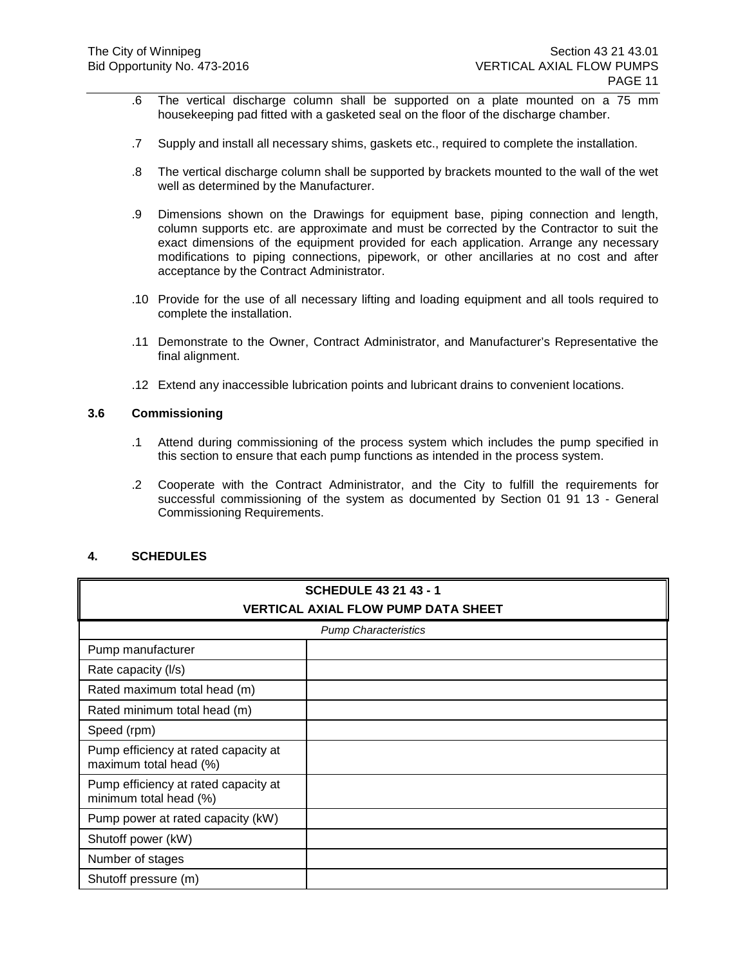- .6 The vertical discharge column shall be supported on a plate mounted on a 75 mm housekeeping pad fitted with a gasketed seal on the floor of the discharge chamber.
- .7 Supply and install all necessary shims, gaskets etc., required to complete the installation.
- .8 The vertical discharge column shall be supported by brackets mounted to the wall of the wet well as determined by the Manufacturer.
- .9 Dimensions shown on the Drawings for equipment base, piping connection and length, column supports etc. are approximate and must be corrected by the Contractor to suit the exact dimensions of the equipment provided for each application. Arrange any necessary modifications to piping connections, pipework, or other ancillaries at no cost and after acceptance by the Contract Administrator.
- .10 Provide for the use of all necessary lifting and loading equipment and all tools required to complete the installation.
- .11 Demonstrate to the Owner, Contract Administrator, and Manufacturer's Representative the final alignment.
- .12 Extend any inaccessible lubrication points and lubricant drains to convenient locations.

## **3.6 Commissioning**

- .1 Attend during commissioning of the process system which includes the pump specified in this section to ensure that each pump functions as intended in the process system.
- .2 Cooperate with the Contract Administrator, and the City to fulfill the requirements for successful commissioning of the system as documented by Section 01 91 13 - General Commissioning Requirements.

## **4. SCHEDULES**

| <b>SCHEDULE 43 21 43 - 1</b>                                   |  |  |
|----------------------------------------------------------------|--|--|
| <b>VERTICAL AXIAL FLOW PUMP DATA SHEET</b>                     |  |  |
| <b>Pump Characteristics</b>                                    |  |  |
| Pump manufacturer                                              |  |  |
| Rate capacity (I/s)                                            |  |  |
| Rated maximum total head (m)                                   |  |  |
| Rated minimum total head (m)                                   |  |  |
| Speed (rpm)                                                    |  |  |
| Pump efficiency at rated capacity at<br>maximum total head (%) |  |  |
| Pump efficiency at rated capacity at<br>minimum total head (%) |  |  |
| Pump power at rated capacity (kW)                              |  |  |
| Shutoff power (kW)                                             |  |  |
| Number of stages                                               |  |  |
| Shutoff pressure (m)                                           |  |  |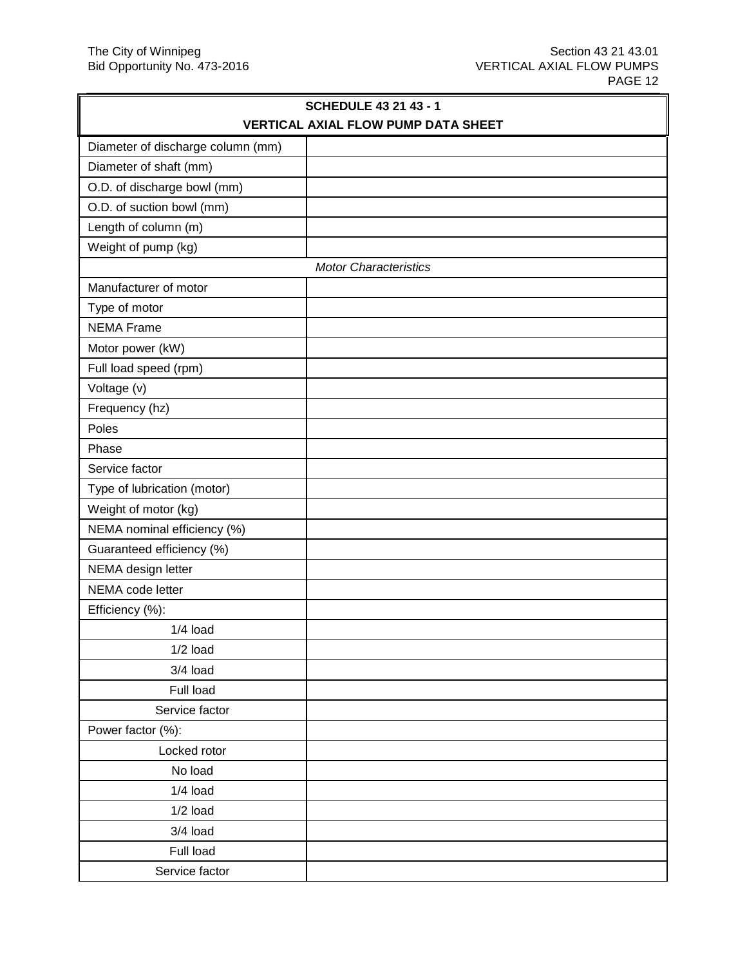|                                     | <b>SCHEDULE 43 21 43 - 1</b> |  |
|-------------------------------------|------------------------------|--|
| VERTICAL AXIAL FLOW PUMP DATA SHEET |                              |  |
| Diameter of discharge column (mm)   |                              |  |
| Diameter of shaft (mm)              |                              |  |
| O.D. of discharge bowl (mm)         |                              |  |
| O.D. of suction bowl (mm)           |                              |  |
| Length of column (m)                |                              |  |
| Weight of pump (kg)                 |                              |  |
|                                     | <b>Motor Characteristics</b> |  |
| Manufacturer of motor               |                              |  |
| Type of motor                       |                              |  |
| <b>NEMA Frame</b>                   |                              |  |
| Motor power (kW)                    |                              |  |
| Full load speed (rpm)               |                              |  |
| Voltage (v)                         |                              |  |
| Frequency (hz)                      |                              |  |
| Poles                               |                              |  |
| Phase                               |                              |  |
| Service factor                      |                              |  |
| Type of lubrication (motor)         |                              |  |
| Weight of motor (kg)                |                              |  |
| NEMA nominal efficiency (%)         |                              |  |
| Guaranteed efficiency (%)           |                              |  |
| NEMA design letter                  |                              |  |
| NEMA code letter                    |                              |  |
| Efficiency (%):                     |                              |  |
| $1/4$ load                          |                              |  |
| $1/2$ load                          |                              |  |
| 3/4 load                            |                              |  |
| Full load                           |                              |  |
| Service factor                      |                              |  |
| Power factor (%):                   |                              |  |
| Locked rotor                        |                              |  |
| No load                             |                              |  |
| $1/4$ load                          |                              |  |
| $1/2$ load                          |                              |  |
| 3/4 load                            |                              |  |
| Full load                           |                              |  |
| Service factor                      |                              |  |